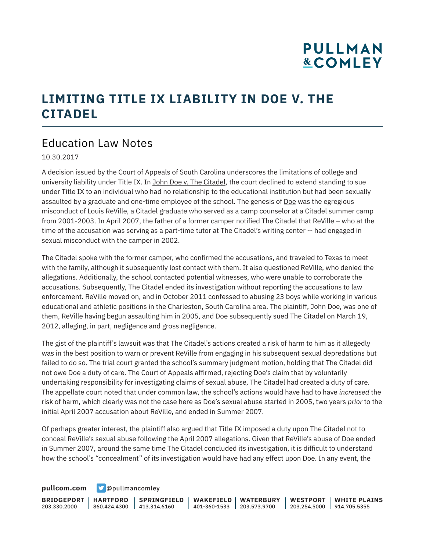# **PULLMAN &COMLEY**

### **LIMITING TITLE IX LIABILITY IN DOE V. THE CITADEL**

#### Education Law Notes

10.30.2017

A decision issued by the Court of Appeals of South Carolina underscores the limitations of college and university liability under Title IX. In John Doe v. The Citadel, the court declined to extend standing to sue under Title IX to an individual who had no relationship to the educational institution but had been sexually assaulted by a graduate and one-time employee of the school. The genesis of Doe was the egregious misconduct of Louis ReVille, a Citadel graduate who served as a camp counselor at a Citadel summer camp from 2001-2003. In April 2007, the father of a former camper notified The Citadel that ReVille – who at the time of the accusation was serving as a part-time tutor at The Citadel's writing center -- had engaged in sexual misconduct with the camper in 2002.

The Citadel spoke with the former camper, who confirmed the accusations, and traveled to Texas to meet with the family, although it subsequently lost contact with them. It also questioned ReVille, who denied the allegations. Additionally, the school contacted potential witnesses, who were unable to corroborate the accusations. Subsequently, The Citadel ended its investigation without reporting the accusations to law enforcement. ReVille moved on, and in October 2011 confessed to abusing 23 boys while working in various educational and athletic positions in the Charleston, South Carolina area. The plaintiff, John Doe, was one of them, ReVille having begun assaulting him in 2005, and Doe subsequently sued The Citadel on March 19, 2012, alleging, in part, negligence and gross negligence.

The gist of the plaintiff's lawsuit was that The Citadel's actions created a risk of harm to him as it allegedly was in the best position to warn or prevent ReVille from engaging in his subsequent sexual depredations but failed to do so. The trial court granted the school's summary judgment motion, holding that The Citadel did not owe Doe a duty of care. The Court of Appeals affirmed, rejecting Doe's claim that by voluntarily undertaking responsibility for investigating claims of sexual abuse, The Citadel had created a duty of care. The appellate court noted that under common law, the school's actions would have had to have *increased* the risk of harm, which clearly was not the case here as Doe's sexual abuse started in 2005, two years *prior* to the initial April 2007 accusation about ReVille, and ended in Summer 2007.

Of perhaps greater interest, the plaintiff also argued that Title IX imposed a duty upon The Citadel not to conceal ReVille's sexual abuse following the April 2007 allegations. Given that ReVille's abuse of Doe ended in Summer 2007, around the same time The Citadel concluded its investigation, it is difficult to understand how the school's "concealment" of its investigation would have had any effect upon Doe. In any event, the

**[pullcom.com](https://www.pullcom.com) g** [@pullmancomley](https://twitter.com/PullmanComley)

**BRIDGEPORT HARTFORD** 203.330.2000 860.424.4300 413.314.6160 **SPRINGFIELD WAKEFIELD WATERBURY** 401-360-1533 203.573.9700 **WESTPORT WHITE PLAINS** 203.254.5000 914.705.5355